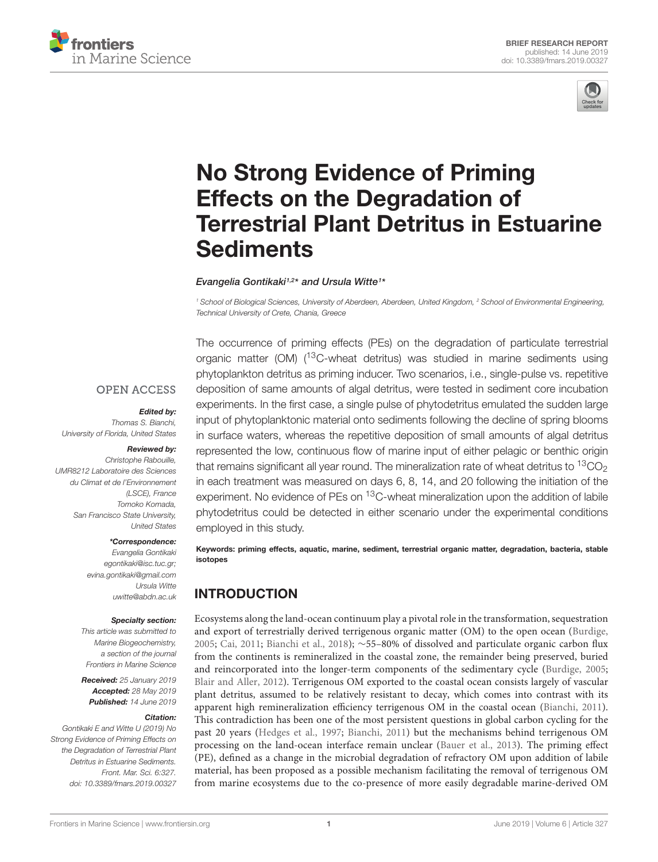



# No Strong Evidence of Priming Effects on the Degradation of [Terrestrial Plant Detritus in Estuarine](https://www.frontiersin.org/articles/10.3389/fmars.2019.00327/full) **Sediments**

[Evangelia Gontikaki](http://loop.frontiersin.org/people/557250/overview)1,2\* and Ursula Witte1\*

<sup>1</sup> School of Biological Sciences, University of Aberdeen, Aberdeen, United Kingdom, <sup>2</sup> School of Environmental Engineering, Technical University of Crete, Chania, Greece

#### **OPEN ACCESS**

#### Edited by:

Thomas S. Bianchi, University of Florida, United States

#### Reviewed by:

Christophe Rabouille, UMR8212 Laboratoire des Sciences du Climat et de l'Environnement (LSCE), France Tomoko Komada, San Francisco State University, United States

#### \*Correspondence:

Evangelia Gontikaki egontikaki@isc.tuc.gr; evina.gontikaki@gmail.com Ursula Witte uwitte@abdn.ac.uk

#### Specialty section:

This article was submitted to Marine Biogeochemistry, a section of the journal Frontiers in Marine Science

Received: 25 January 2019 Accepted: 28 May 2019 Published: 14 June 2019

#### Citation:

Gontikaki E and Witte U (2019) No Strong Evidence of Priming Effects on the Degradation of Terrestrial Plant Detritus in Estuarine Sediments. Front. Mar. Sci. 6:327. doi: [10.3389/fmars.2019.00327](https://doi.org/10.3389/fmars.2019.00327)

The occurrence of priming effects (PEs) on the degradation of particulate terrestrial organic matter (OM) (13C-wheat detritus) was studied in marine sediments using phytoplankton detritus as priming inducer. Two scenarios, i.e., single-pulse vs. repetitive deposition of same amounts of algal detritus, were tested in sediment core incubation experiments. In the first case, a single pulse of phytodetritus emulated the sudden large input of phytoplanktonic material onto sediments following the decline of spring blooms in surface waters, whereas the repetitive deposition of small amounts of algal detritus represented the low, continuous flow of marine input of either pelagic or benthic origin that remains significant all year round. The mineralization rate of wheat detritus to  ${}^{13}CO_2$ in each treatment was measured on days 6, 8, 14, and 20 following the initiation of the experiment. No evidence of PEs on <sup>13</sup>C-wheat mineralization upon the addition of labile phytodetritus could be detected in either scenario under the experimental conditions employed in this study.

Keywords: priming effects, aquatic, marine, sediment, terrestrial organic matter, degradation, bacteria, stable isotopes

## INTRODUCTION

Ecosystems along the land-ocean continuum play a pivotal role in the transformation, sequestration and export of terrestrially derived terrigenous organic matter (OM) to the open ocean [\(Burdige,](#page-4-0) [2005;](#page-4-0) [Cai,](#page-4-1) [2011;](#page-4-1) [Bianchi et al.,](#page-4-2) [2018\)](#page-4-2); ∼55–80% of dissolved and particulate organic carbon flux from the continents is remineralized in the coastal zone, the remainder being preserved, buried and reincorporated into the longer-term components of the sedimentary cycle [\(Burdige,](#page-4-0) [2005;](#page-4-0) [Blair and Aller,](#page-4-3) [2012\)](#page-4-3). Terrigenous OM exported to the coastal ocean consists largely of vascular plant detritus, assumed to be relatively resistant to decay, which comes into contrast with its apparent high remineralization efficiency terrigenous OM in the coastal ocean [\(Bianchi,](#page-4-4) [2011\)](#page-4-4). This contradiction has been one of the most persistent questions in global carbon cycling for the past 20 years [\(Hedges et al.,](#page-5-0) [1997;](#page-5-0) [Bianchi,](#page-4-4) [2011\)](#page-4-4) but the mechanisms behind terrigenous OM processing on the land-ocean interface remain unclear [\(Bauer et al.,](#page-4-5) [2013\)](#page-4-5). The priming effect (PE), defined as a change in the microbial degradation of refractory OM upon addition of labile material, has been proposed as a possible mechanism facilitating the removal of terrigenous OM from marine ecosystems due to the co-presence of more easily degradable marine-derived OM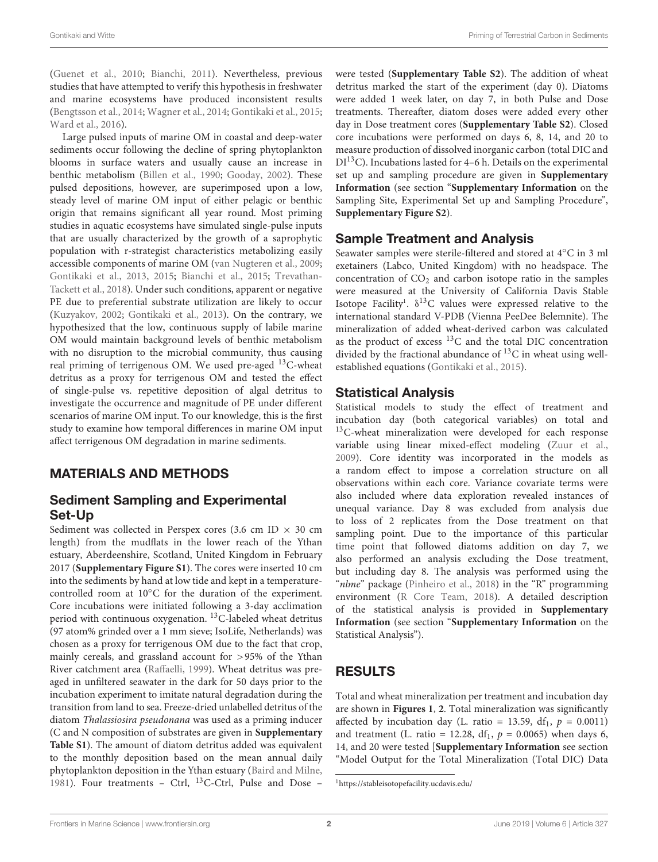[\(Guenet et al.,](#page-4-6) [2010;](#page-4-6) [Bianchi,](#page-4-4) [2011\)](#page-4-4). Nevertheless, previous studies that have attempted to verify this hypothesis in freshwater and marine ecosystems have produced inconsistent results [\(Bengtsson et al.,](#page-4-7) [2014;](#page-4-7) [Wagner et al.,](#page-5-1) [2014;](#page-5-1) [Gontikaki et al.,](#page-4-8) [2015;](#page-4-8) [Ward et al.,](#page-5-2) [2016\)](#page-5-2).

Large pulsed inputs of marine OM in coastal and deep-water sediments occur following the decline of spring phytoplankton blooms in surface waters and usually cause an increase in benthic metabolism [\(Billen et al.,](#page-4-9) [1990;](#page-4-9) [Gooday,](#page-4-10) [2002\)](#page-4-10). These pulsed depositions, however, are superimposed upon a low, steady level of marine OM input of either pelagic or benthic origin that remains significant all year round. Most priming studies in aquatic ecosystems have simulated single-pulse inputs that are usually characterized by the growth of a saprophytic population with r-strategist characteristics metabolizing easily accessible components of marine OM [\(van Nugteren et al.,](#page-5-3) [2009;](#page-5-3) [Gontikaki et al.,](#page-4-11) [2013,](#page-4-11) [2015;](#page-4-8) [Bianchi et al.,](#page-4-12) [2015;](#page-4-12) [Trevathan-](#page-5-4)[Tackett et al.,](#page-5-4) [2018\)](#page-5-4). Under such conditions, apparent or negative PE due to preferential substrate utilization are likely to occur [\(Kuzyakov,](#page-5-5) [2002;](#page-5-5) [Gontikaki et al.,](#page-4-11) [2013\)](#page-4-11). On the contrary, we hypothesized that the low, continuous supply of labile marine OM would maintain background levels of benthic metabolism with no disruption to the microbial community, thus causing real priming of terrigenous OM. We used pre-aged <sup>13</sup>C-wheat detritus as a proxy for terrigenous OM and tested the effect of single-pulse vs. repetitive deposition of algal detritus to investigate the occurrence and magnitude of PE under different scenarios of marine OM input. To our knowledge, this is the first study to examine how temporal differences in marine OM input affect terrigenous OM degradation in marine sediments.

## MATERIALS AND METHODS

## Sediment Sampling and Experimental Set-Up

Sediment was collected in Perspex cores (3.6 cm ID  $\times$  30 cm length) from the mudflats in the lower reach of the Ythan estuary, Aberdeenshire, Scotland, United Kingdom in February 2017 (**[Supplementary Figure S1](#page-4-13)**). The cores were inserted 10 cm into the sediments by hand at low tide and kept in a temperaturecontrolled room at 10◦C for the duration of the experiment. Core incubations were initiated following a 3-day acclimation period with continuous oxygenation.  ${}^{13}$ C-labeled wheat detritus (97 atom% grinded over a 1 mm sieve; IsoLife, Netherlands) was chosen as a proxy for terrigenous OM due to the fact that crop, mainly cereals, and grassland account for >95% of the Ythan River catchment area [\(Raffaelli,](#page-5-6) [1999\)](#page-5-6). Wheat detritus was preaged in unfiltered seawater in the dark for 50 days prior to the incubation experiment to imitate natural degradation during the transition from land to sea. Freeze-dried unlabelled detritus of the diatom Thalassiosira pseudonana was used as a priming inducer (C and N composition of substrates are given in **[Supplementary](#page-4-13) [Table S1](#page-4-13)**). The amount of diatom detritus added was equivalent to the monthly deposition based on the mean annual daily phytoplankton deposition in the Ythan estuary [\(Baird and Milne,](#page-4-14) [1981\)](#page-4-14). Four treatments - Ctrl, <sup>13</sup>C-Ctrl, Pulse and Dose -

were tested (**[Supplementary Table S2](#page-4-13)**). The addition of wheat detritus marked the start of the experiment (day 0). Diatoms were added 1 week later, on day 7, in both Pulse and Dose treatments. Thereafter, diatom doses were added every other day in Dose treatment cores (**[Supplementary Table S2](#page-4-13)**). Closed core incubations were performed on days 6, 8, 14, and 20 to measure production of dissolved inorganic carbon (total DIC and  $DI<sup>13</sup>C$ ). Incubations lasted for 4–6 h. Details on the experimental set up and sampling procedure are given in **[Supplementary](#page-4-13) [Information](#page-4-13)** (see section "**[Supplementary Information](#page-4-13)** on the Sampling Site, Experimental Set up and Sampling Procedure", **[Supplementary Figure S2](#page-4-13)**).

## Sample Treatment and Analysis

Seawater samples were sterile-filtered and stored at 4◦C in 3 ml exetainers (Labco, United Kingdom) with no headspace. The concentration of  $CO<sub>2</sub>$  and carbon isotope ratio in the samples were measured at the University of California Davis Stable Isotope Facility<sup>[1](#page-1-0)</sup>.  $\delta^{13}$ C values were expressed relative to the international standard V-PDB (Vienna PeeDee Belemnite). The mineralization of added wheat-derived carbon was calculated as the product of excess  $^{13}$ C and the total DIC concentration divided by the fractional abundance of  $^{13}$ C in wheat using wellestablished equations [\(Gontikaki et al.,](#page-4-8) [2015\)](#page-4-8).

#### Statistical Analysis

Statistical models to study the effect of treatment and incubation day (both categorical variables) on total and <sup>13</sup>C-wheat mineralization were developed for each response variable using linear mixed-effect modeling [\(Zuur et al.,](#page-5-7) [2009\)](#page-5-7). Core identity was incorporated in the models as a random effect to impose a correlation structure on all observations within each core. Variance covariate terms were also included where data exploration revealed instances of unequal variance. Day 8 was excluded from analysis due to loss of 2 replicates from the Dose treatment on that sampling point. Due to the importance of this particular time point that followed diatoms addition on day 7, we also performed an analysis excluding the Dose treatment, but including day 8. The analysis was performed using the "nlme" package [\(Pinheiro et al.,](#page-5-8) [2018\)](#page-5-8) in the "R" programming environment [\(R Core Team,](#page-5-9) [2018\)](#page-5-9). A detailed description of the statistical analysis is provided in **[Supplementary](#page-4-13) [Information](#page-4-13)** (see section "**[Supplementary Information](#page-4-13)** on the Statistical Analysis").

# RESULTS

Total and wheat mineralization per treatment and incubation day are shown in **[Figures 1](#page-2-0)**, **[2](#page-2-0)**. Total mineralization was significantly affected by incubation day (L. ratio = 13.59, df<sub>1</sub>,  $p = 0.0011$ ) and treatment (L. ratio = 12.28,  $df_1$ ,  $p = 0.0065$ ) when days 6, 14, and 20 were tested [**[Supplementary Information](#page-4-13)** see section "Model Output for the Total Mineralization (Total DIC) Data

<span id="page-1-0"></span><sup>1</sup><https://stableisotopefacility.ucdavis.edu/>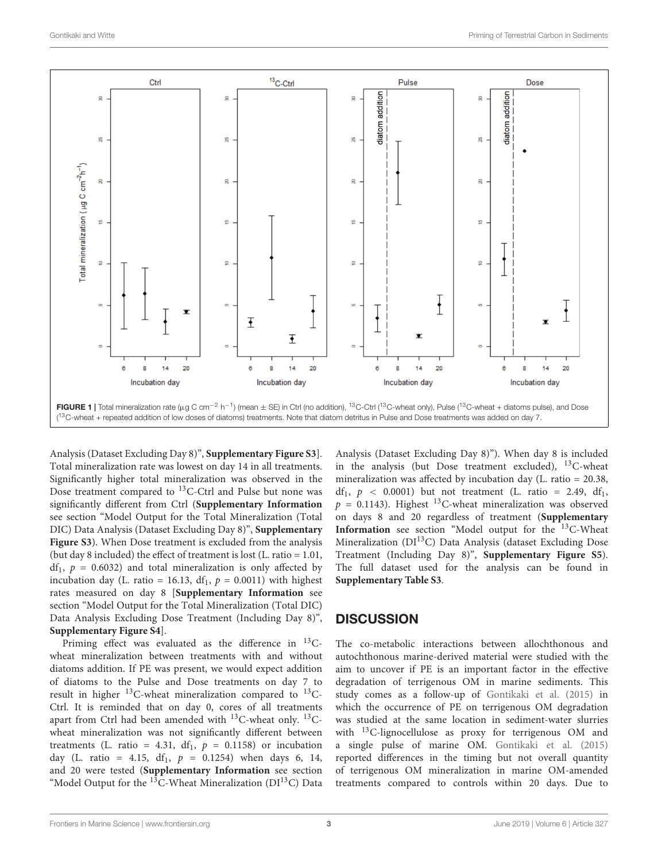

<span id="page-2-0"></span>Analysis (Dataset Excluding Day 8)", **[Supplementary Figure S3](#page-4-13)**]. Total mineralization rate was lowest on day 14 in all treatments. Significantly higher total mineralization was observed in the Dose treatment compared to <sup>13</sup>C-Ctrl and Pulse but none was significantly different from Ctrl (**[Supplementary Information](#page-4-13)** see section "Model Output for the Total Mineralization (Total DIC) Data Analysis (Dataset Excluding Day 8)", **[Supplementary](#page-4-13) [Figure S3](#page-4-13)**). When Dose treatment is excluded from the analysis (but day 8 included) the effect of treatment is lost (L. ratio = 1.01,  $df_1$ ,  $p = 0.6032$ ) and total mineralization is only affected by incubation day (L. ratio = 16.13, df<sub>1</sub>,  $p = 0.0011$ ) with highest rates measured on day 8 [**[Supplementary Information](#page-4-13)** see section "Model Output for the Total Mineralization (Total DIC) Data Analysis Excluding Dose Treatment (Including Day 8)", **[Supplementary Figure S4](#page-4-13)**].

Priming effect was evaluated as the difference in  $^{13}$ Cwheat mineralization between treatments with and without diatoms addition. If PE was present, we would expect addition of diatoms to the Pulse and Dose treatments on day 7 to result in higher  $^{13}$ C-wheat mineralization compared to  $^{13}$ C-Ctrl. It is reminded that on day 0, cores of all treatments apart from Ctrl had been amended with <sup>13</sup>C-wheat only. <sup>13</sup>Cwheat mineralization was not significantly different between treatments (L. ratio = 4.31, df<sub>1</sub>,  $p = 0.1158$ ) or incubation day (L. ratio = 4.15, df<sub>1</sub>,  $p = 0.1254$ ) when days 6, 14, and 20 were tested (**[Supplementary Information](#page-4-13)** see section "Model Output for the  $13C$ -Wheat Mineralization (DI<sup>13</sup>C) Data

Analysis (Dataset Excluding Day 8)"). When day 8 is included in the analysis (but Dose treatment excluded),  $^{13}$ C-wheat mineralization was affected by incubation day (L. ratio = 20.38, df<sub>1</sub>,  $p \leq 0.0001$ ) but not treatment (L. ratio = 2.49, df<sub>1</sub>,  $p = 0.1143$ . Highest <sup>13</sup>C-wheat mineralization was observed on days 8 and 20 regardless of treatment (**[Supplementary](#page-4-13) [Information](#page-4-13)** see section "Model output for the <sup>13</sup>C-Wheat Mineralization (DI<sup>13</sup>C) Data Analysis (dataset Excluding Dose Treatment (Including Day 8)", **[Supplementary Figure S5](#page-4-13)**). The full dataset used for the analysis can be found in **[Supplementary Table S3](#page-4-13)**.

#### **DISCUSSION**

The co-metabolic interactions between allochthonous and autochthonous marine-derived material were studied with the aim to uncover if PE is an important factor in the effective degradation of terrigenous OM in marine sediments. This study comes as a follow-up of [Gontikaki et al.](#page-4-8) [\(2015\)](#page-4-8) in which the occurrence of PE on terrigenous OM degradation was studied at the same location in sediment-water slurries with <sup>13</sup>C-lignocellulose as proxy for terrigenous OM and a single pulse of marine OM. [Gontikaki et al.](#page-4-8) [\(2015\)](#page-4-8) reported differences in the timing but not overall quantity of terrigenous OM mineralization in marine OM-amended treatments compared to controls within 20 days. Due to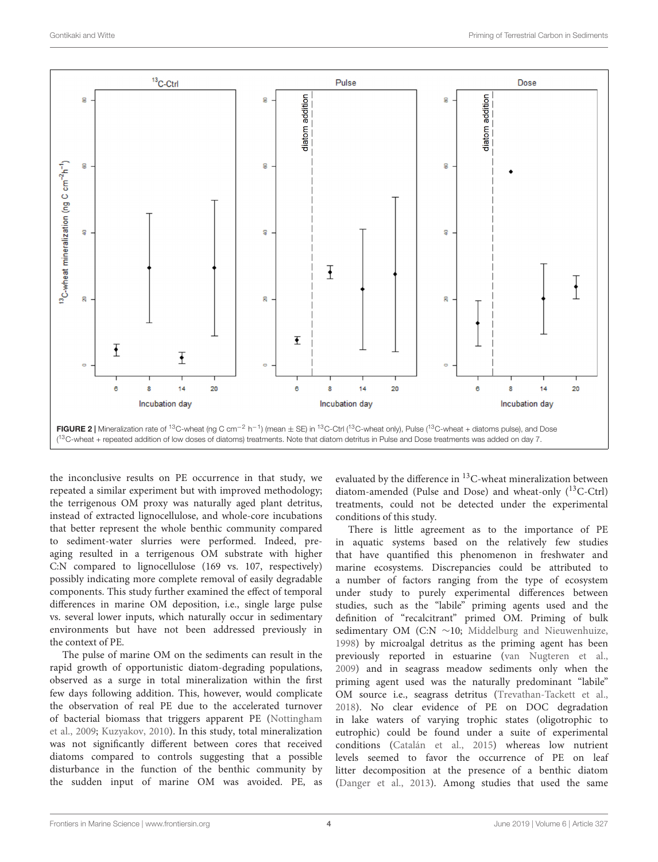

the inconclusive results on PE occurrence in that study, we repeated a similar experiment but with improved methodology; the terrigenous OM proxy was naturally aged plant detritus, instead of extracted lignocellulose, and whole-core incubations that better represent the whole benthic community compared to sediment-water slurries were performed. Indeed, preaging resulted in a terrigenous OM substrate with higher C:N compared to lignocellulose (169 vs. 107, respectively) possibly indicating more complete removal of easily degradable components. This study further examined the effect of temporal differences in marine OM deposition, i.e., single large pulse vs. several lower inputs, which naturally occur in sedimentary environments but have not been addressed previously in the context of PE.

The pulse of marine OM on the sediments can result in the rapid growth of opportunistic diatom-degrading populations, observed as a surge in total mineralization within the first few days following addition. This, however, would complicate the observation of real PE due to the accelerated turnover of bacterial biomass that triggers apparent PE [\(Nottingham](#page-5-10) [et al.,](#page-5-10) [2009;](#page-5-10) [Kuzyakov,](#page-5-11) [2010\)](#page-5-11). In this study, total mineralization was not significantly different between cores that received diatoms compared to controls suggesting that a possible disturbance in the function of the benthic community by the sudden input of marine OM was avoided. PE, as

evaluated by the difference in <sup>13</sup>C-wheat mineralization between diatom-amended (Pulse and Dose) and wheat-only  $(^{13}C-Ctrl)$ treatments, could not be detected under the experimental conditions of this study.

There is little agreement as to the importance of PE in aquatic systems based on the relatively few studies that have quantified this phenomenon in freshwater and marine ecosystems. Discrepancies could be attributed to a number of factors ranging from the type of ecosystem under study to purely experimental differences between studies, such as the "labile" priming agents used and the definition of "recalcitrant" primed OM. Priming of bulk sedimentary OM (C:N ∼10; [Middelburg and Nieuwenhuize,](#page-5-12) [1998\)](#page-5-12) by microalgal detritus as the priming agent has been previously reported in estuarine [\(van Nugteren et al.,](#page-5-3) [2009\)](#page-5-3) and in seagrass meadow sediments only when the priming agent used was the naturally predominant "labile" OM source i.e., seagrass detritus [\(Trevathan-Tackett et al.,](#page-5-4) [2018\)](#page-5-4). No clear evidence of PE on DOC degradation in lake waters of varying trophic states (oligotrophic to eutrophic) could be found under a suite of experimental conditions [\(Catalán et al.,](#page-4-15) [2015\)](#page-4-15) whereas low nutrient levels seemed to favor the occurrence of PE on leaf litter decomposition at the presence of a benthic diatom [\(Danger et al.,](#page-4-16) [2013\)](#page-4-16). Among studies that used the same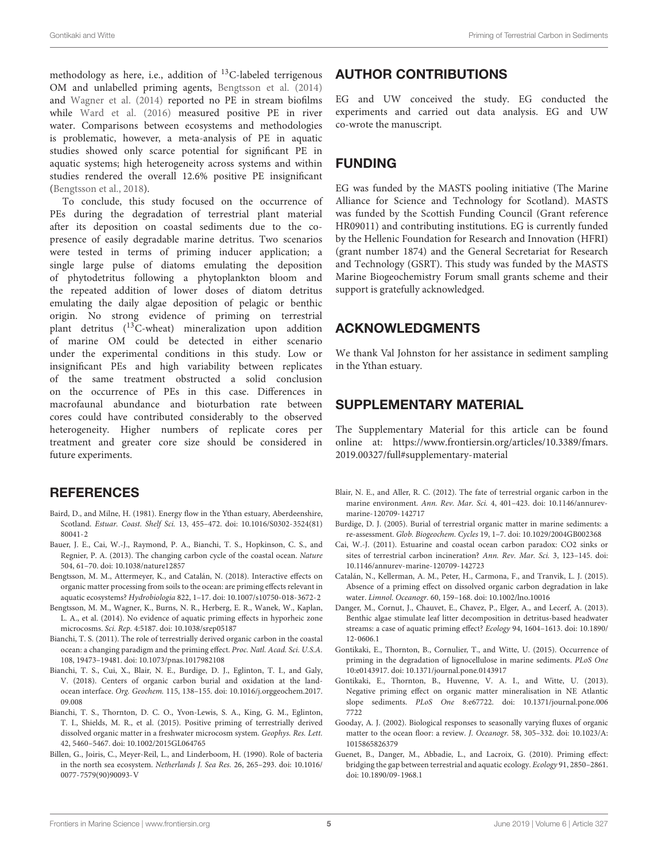methodology as here, i.e., addition of  $^{13}$ C-labeled terrigenous OM and unlabelled priming agents, [Bengtsson et al.](#page-4-7) [\(2014\)](#page-4-7) and [Wagner et al.](#page-5-1) [\(2014\)](#page-5-1) reported no PE in stream biofilms while [Ward et al.](#page-5-2) [\(2016\)](#page-5-2) measured positive PE in river water. Comparisons between ecosystems and methodologies is problematic, however, a meta-analysis of PE in aquatic studies showed only scarce potential for significant PE in aquatic systems; high heterogeneity across systems and within studies rendered the overall 12.6% positive PE insignificant [\(Bengtsson et al.,](#page-4-17) [2018\)](#page-4-17).

To conclude, this study focused on the occurrence of PEs during the degradation of terrestrial plant material after its deposition on coastal sediments due to the copresence of easily degradable marine detritus. Two scenarios were tested in terms of priming inducer application; a single large pulse of diatoms emulating the deposition of phytodetritus following a phytoplankton bloom and the repeated addition of lower doses of diatom detritus emulating the daily algae deposition of pelagic or benthic origin. No strong evidence of priming on terrestrial plant detritus (13C-wheat) mineralization upon addition of marine OM could be detected in either scenario under the experimental conditions in this study. Low or insignificant PEs and high variability between replicates of the same treatment obstructed a solid conclusion on the occurrence of PEs in this case. Differences in macrofaunal abundance and bioturbation rate between cores could have contributed considerably to the observed heterogeneity. Higher numbers of replicate cores per treatment and greater core size should be considered in future experiments.

#### **REFERENCES**

- <span id="page-4-14"></span>Baird, D., and Milne, H. (1981). Energy flow in the Ythan estuary, Aberdeenshire, Scotland. Estuar. Coast. Shelf Sci. 13, 455–472. [doi: 10.1016/S0302-3524\(81\)](https://doi.org/10.1016/S0302-3524(81)80041-2) [80041-2](https://doi.org/10.1016/S0302-3524(81)80041-2)
- <span id="page-4-5"></span>Bauer, J. E., Cai, W.-J., Raymond, P. A., Bianchi, T. S., Hopkinson, C. S., and Regnier, P. A. (2013). The changing carbon cycle of the coastal ocean. Nature 504, 61–70. [doi: 10.1038/nature12857](https://doi.org/10.1038/nature12857)
- <span id="page-4-17"></span>Bengtsson, M. M., Attermeyer, K., and Catalán, N. (2018). Interactive effects on organic matter processing from soils to the ocean: are priming effects relevant in aquatic ecosystems? Hydrobiologia 822, 1–17. [doi: 10.1007/s10750-018-3672-2](https://doi.org/10.1007/s10750-018-3672-2)
- <span id="page-4-7"></span>Bengtsson, M. M., Wagner, K., Burns, N. R., Herberg, E. R., Wanek, W., Kaplan, L. A., et al. (2014). No evidence of aquatic priming effects in hyporheic zone microcosms. Sci. Rep. 4:5187. [doi: 10.1038/srep05187](https://doi.org/10.1038/srep05187)
- <span id="page-4-4"></span>Bianchi, T. S. (2011). The role of terrestrially derived organic carbon in the coastal ocean: a changing paradigm and the priming effect. Proc. Natl. Acad. Sci. U.S.A. 108, 19473–19481. [doi: 10.1073/pnas.1017982108](https://doi.org/10.1073/pnas.1017982108)
- <span id="page-4-2"></span>Bianchi, T. S., Cui, X., Blair, N. E., Burdige, D. J., Eglinton, T. I., and Galy, V. (2018). Centers of organic carbon burial and oxidation at the landocean interface. Org. Geochem. 115, 138–155. [doi: 10.1016/j.orggeochem.2017.](https://doi.org/10.1016/j.orggeochem.2017.09.008) [09.008](https://doi.org/10.1016/j.orggeochem.2017.09.008)
- <span id="page-4-12"></span>Bianchi, T. S., Thornton, D. C. O., Yvon-Lewis, S. A., King, G. M., Eglinton, T. I., Shields, M. R., et al. (2015). Positive priming of terrestrially derived dissolved organic matter in a freshwater microcosm system. Geophys. Res. Lett. 42, 5460–5467. [doi: 10.1002/2015GL064765](https://doi.org/10.1002/2015GL064765)
- <span id="page-4-9"></span>Billen, G., Joiris, C., Meyer-Reil, L., and Linderboom, H. (1990). Role of bacteria in the north sea ecosystem. Netherlands J. Sea Res. 26, 265–293. [doi: 10.1016/](https://doi.org/10.1016/0077-7579(90)90093-V) [0077-7579\(90\)90093-V](https://doi.org/10.1016/0077-7579(90)90093-V)

#### AUTHOR CONTRIBUTIONS

EG and UW conceived the study. EG conducted the experiments and carried out data analysis. EG and UW co-wrote the manuscript.

## FUNDING

EG was funded by the MASTS pooling initiative (The Marine Alliance for Science and Technology for Scotland). MASTS was funded by the Scottish Funding Council (Grant reference HR09011) and contributing institutions. EG is currently funded by the Hellenic Foundation for Research and Innovation (HFRI) (grant number 1874) and the General Secretariat for Research and Technology (GSRT). This study was funded by the MASTS Marine Biogeochemistry Forum small grants scheme and their support is gratefully acknowledged.

#### ACKNOWLEDGMENTS

We thank Val Johnston for her assistance in sediment sampling in the Ythan estuary.

## <span id="page-4-13"></span>SUPPLEMENTARY MATERIAL

The Supplementary Material for this article can be found online at: [https://www.frontiersin.org/articles/10.3389/fmars.](https://www.frontiersin.org/articles/10.3389/fmars.2019.00327/full#supplementary-material) [2019.00327/full#supplementary-material](https://www.frontiersin.org/articles/10.3389/fmars.2019.00327/full#supplementary-material)

- <span id="page-4-3"></span>Blair, N. E., and Aller, R. C. (2012). The fate of terrestrial organic carbon in the marine environment. Ann. Rev. Mar. Sci. 4, 401–423. [doi: 10.1146/annurev](https://doi.org/10.1146/annurev-marine-120709-142717)[marine-120709-142717](https://doi.org/10.1146/annurev-marine-120709-142717)
- <span id="page-4-0"></span>Burdige, D. J. (2005). Burial of terrestrial organic matter in marine sediments: a re-assessment. Glob. Biogeochem. Cycles 19, 1–7. [doi: 10.1029/2004GB002368](https://doi.org/10.1029/2004GB002368)
- <span id="page-4-1"></span>Cai, W.-J. (2011). Estuarine and coastal ocean carbon paradox: CO2 sinks or sites of terrestrial carbon incineration? Ann. Rev. Mar. Sci. 3, 123–145. [doi:](https://doi.org/10.1146/annurev-marine-120709-142723) [10.1146/annurev-marine-120709-142723](https://doi.org/10.1146/annurev-marine-120709-142723)
- <span id="page-4-15"></span>Catalán, N., Kellerman, A. M., Peter, H., Carmona, F., and Tranvik, L. J. (2015). Absence of a priming effect on dissolved organic carbon degradation in lake water. Limnol. Oceanogr. 60, 159–168. [doi: 10.1002/lno.10016](https://doi.org/10.1002/lno.10016)
- <span id="page-4-16"></span>Danger, M., Cornut, J., Chauvet, E., Chavez, P., Elger, A., and Lecerf, A. (2013). Benthic algae stimulate leaf litter decomposition in detritus-based headwater streams: a case of aquatic priming effect? Ecology 94, 1604–1613. [doi: 10.1890/](https://doi.org/10.1890/12-0606.1) [12-0606.1](https://doi.org/10.1890/12-0606.1)
- <span id="page-4-8"></span>Gontikaki, E., Thornton, B., Cornulier, T., and Witte, U. (2015). Occurrence of priming in the degradation of lignocellulose in marine sediments. PLoS One 10:e0143917. [doi: 10.1371/journal.pone.0143917](https://doi.org/10.1371/journal.pone.0143917)
- <span id="page-4-11"></span>Gontikaki, E., Thornton, B., Huvenne, V. A. I., and Witte, U. (2013). Negative priming effect on organic matter mineralisation in NE Atlantic slope sediments. PLoS One 8:e67722. [doi: 10.1371/journal.pone.006](https://doi.org/10.1371/journal.pone.0067722) [7722](https://doi.org/10.1371/journal.pone.0067722)
- <span id="page-4-10"></span>Gooday, A. J. (2002). Biological responses to seasonally varying fluxes of organic matter to the ocean floor: a review. J. Oceanogr. 58, 305–332. [doi: 10.1023/A:](https://doi.org/10.1023/A:1015865826379) [1015865826379](https://doi.org/10.1023/A:1015865826379)
- <span id="page-4-6"></span>Guenet, B., Danger, M., Abbadie, L., and Lacroix, G. (2010). Priming effect: bridging the gap between terrestrial and aquatic ecology. Ecology 91, 2850–2861. [doi: 10.1890/09-1968.1](https://doi.org/10.1890/09-1968.1)